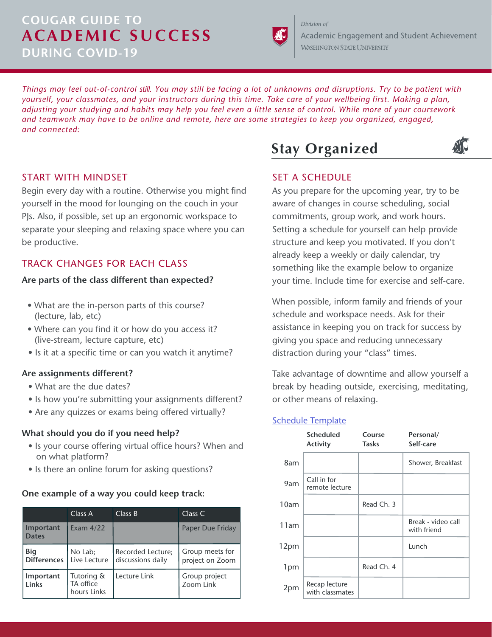# **COUGAR GUIDE TO ACADEMIC SUCCESS DURING COVID-19**



Academic Engagement and Student Achievement **WASHINGTON STATE UNIVERSITY** 

*Things may feel out-of-control still. You may still be facing a lot of unknowns and disruptions. Try to be patient with yourself, your classmates, and your instructors during this time. Take care of your wellbeing first. Making a plan, adjusting your studying and habits may help you feel even a little sense of control. While more of your coursework and teamwork may have to be online and remote, here are some strategies to keep you organized, engaged, and connected:*

## START WITH MINDSET

Begin every day with a routine. Otherwise you might find yourself in the mood for lounging on the couch in your PJs. Also, if possible, set up an ergonomic workspace to separate your sleeping and relaxing space where you can be productive.

## TRACK CHANGES FOR EACH CLASS

#### **Are parts of the class different than expected?**

- What are the in-person parts of this course? (lecture, lab, etc)
- Where can you find it or how do you access it? (live-stream, lecture capture, etc)
- Is it at a specific time or can you watch it anytime?

#### **Are assignments different?**

- What are the due dates?
- Is how you're submitting your assignments different?
- Are any quizzes or exams being offered virtually?

#### **What should you do if you need help?**

- Is your course offering virtual office hours? When and on what platform?
- Is there an online forum for asking questions?

#### **One example of a way you could keep track:**

|                                  | Class A                                | Class B                                | Class C                            |
|----------------------------------|----------------------------------------|----------------------------------------|------------------------------------|
| Important<br><b>Dates</b>        | Exam $4/22$                            |                                        | Paper Due Friday                   |
| <b>Big</b><br><b>Differences</b> | No Lab;<br>Live Lecture                | Recorded Lecture;<br>discussions daily | Group meets for<br>project on Zoom |
| Important<br>Links               | Tutoring &<br>TA office<br>hours Links | Lecture Link                           | Group project<br>Zoom Link         |



# AIC

# SET A SCHEDULE

Division of

As you prepare for the upcoming year, try to be aware of changes in course scheduling, social commitments, group work, and work hours. Setting a schedule for yourself can help provide structure and keep you motivated. If you don't already keep a weekly or daily calendar, try something like the example below to organize your time. Include time for exercise and self-care.

When possible, inform family and friends of your schedule and workspace needs. Ask for their assistance in keeping you on track for success by giving you space and reducing unnecessary distraction during your "class" times.

Take advantage of downtime and allow yourself a break by heading outside, exercising, meditating, or other means of relaxing.

## [Schedule Template](https://docs.google.com/spreadsheets/d/1RLK9JF-wWfOqKuZQpDjpBZ_nA5d3t9EGqLua4fCEUtU/edit?usp=sharing)

|      | <b>Scheduled</b><br><b>Activity</b> | Course<br><b>Tasks</b> | Personal/<br>Self-care            |
|------|-------------------------------------|------------------------|-----------------------------------|
| 8am  |                                     |                        | Shower, Breakfast                 |
| 9am  | Call in for<br>remote lecture       |                        |                                   |
| 10am |                                     | Read Ch. 3             |                                   |
| 11am |                                     |                        | Break - video call<br>with friend |
| 12pm |                                     |                        | Lunch                             |
| 1pm  |                                     | Read Ch. 4             |                                   |
| 2pm  | Recap lecture<br>with classmates    |                        |                                   |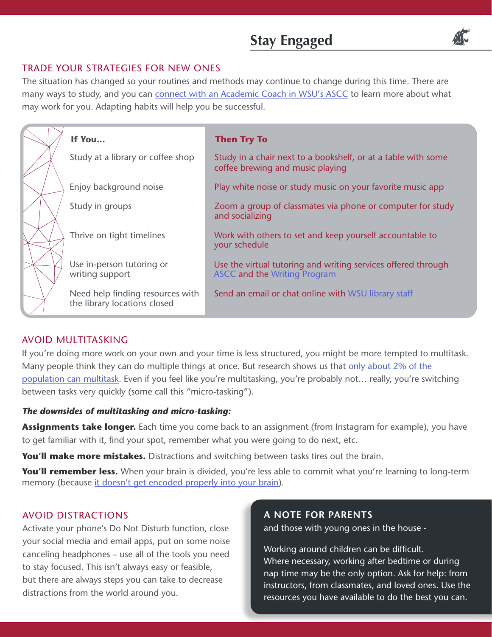# **Stay Engaged**



## TRADE YOUR STRATEGIES FOR NEW ONES

The situation has changed so your routines and methods may continue to change during this time. There are many ways to study, and you can [connect with an Academic Coach in WSU's ASCC](https://ascc.wsu.edu/ascc-during-covid-19-closure/?lor=0&utm_source=mass_mailer&utm_medium=email&utm_content=568341&utm_campaign=uni_targeted_emails) to learn more about what may work for you. Adapting habits will help you be successful.

| If You                                                           | <b>Then Try To</b>                                                                                   |
|------------------------------------------------------------------|------------------------------------------------------------------------------------------------------|
| Study at a library or coffee shop                                | Study in a chair next to a bookshelf, or at a table with some<br>coffee brewing and music playing    |
| Enjoy background noise                                           | Play white noise or study music on your favorite music app                                           |
| Study in groups                                                  | Zoom a group of classmates via phone or computer for study<br>and socializing                        |
| Thrive on tight timelines                                        | Work with others to set and keep yourself accountable to<br>your schedule                            |
| Use in-person tutoring or<br>writing support                     | Use the virtual tutoring and writing services offered through<br><b>ASCC and the Writing Program</b> |
| Need help finding resources with<br>the library locations closed | Send an email or chat online with WSU library staff                                                  |

# AVOID MULTITASKING

If you're doing more work on your own and your time is less structured, you might be more tempted to multitask. Many people think they can do multiple things at once. But research shows us that [only about 2% of the](https://www.psychologytoday.com/us/blog/brain-trust/201202/is-your-brain-multitasking)  [population can multitask.](https://www.psychologytoday.com/us/blog/brain-trust/201202/is-your-brain-multitasking) Even if you feel like you're multitasking, you're probably not… really, you're switching between tasks very quickly (some call this "micro-tasking").

## *The downsides of multitasking and micro-tasking:*

**Assignments take longer.** Each time you come back to an assignment (from Instagram for example), you have to get familiar with it, find your spot, remember what you were going to do next, etc.

**You'll make more mistakes.** Distractions and switching between tasks tires out the brain.

**You'll remember less.** When your brain is divided, you're less able to commit what you're learning to long-term memory (because [it doesn't get encoded properly into your brain\)](https://www.ncbi.nlm.nih.gov/pubmed/10868332).

# AVOID DISTRACTIONS

Activate your phone's Do Not Disturb function, close your social media and email apps, put on some noise canceling headphones – use all of the tools you need to stay focused. This isn't always easy or feasible, but there are always steps you can take to decrease distractions from the world around you.

### **A NOTE FOR PARENTS**

and those with young ones in the house -

Working around children can be difficult. Where necessary, working after bedtime or during nap time may be the only option. Ask for help: from instructors, from classmates, and loved ones. Use the resources you have available to do the best you can.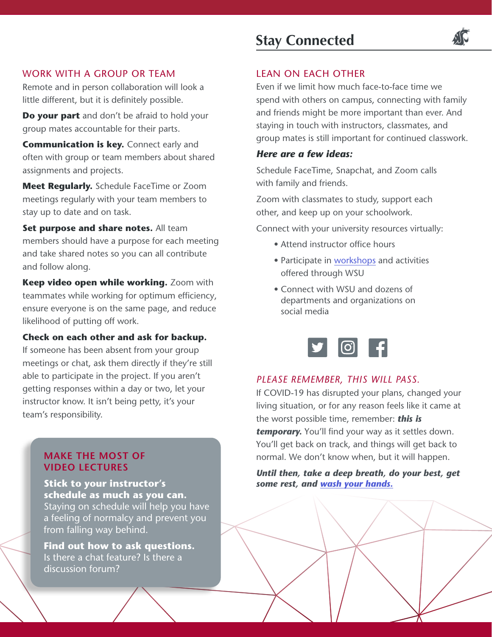## WORK WITH A GROUP OR TEAM

Remote and in person collaboration will look a little different, but it is definitely possible.

**Do your part** and don't be afraid to hold your group mates accountable for their parts.

**Communication is key.** Connect early and often with group or team members about shared assignments and projects.

**Meet Regularly.** Schedule FaceTime or Zoom meetings regularly with your team members to stay up to date and on task.

**Set purpose and share notes.** All team members should have a purpose for each meeting and take shared notes so you can all contribute and follow along.

**Keep video open while working.** Zoom with teammates while working for optimum efficiency, ensure everyone is on the same page, and reduce likelihood of putting off work.

## **Check on each other and ask for backup.**

If someone has been absent from your group meetings or chat, ask them directly if they're still able to participate in the project. If you aren't getting responses within a day or two, let your instructor know. It isn't being petty, it's your team's responsibility.

## **MAKE THE MOST OF VIDEO LECTURES**

**Stick to your instructor's schedule as much as you can.**  Staying on schedule will help you have a feeling of normalcy and prevent you from falling way behind.

**Find out how to ask questions.**  Is there a chat feature? Is there a discussion forum?

# **Stay Connected**



## LEAN ON EACH OTHER

Even if we limit how much face-to-face time we spend with others on campus, connecting with family and friends might be more important than ever. And staying in touch with instructors, classmates, and group mates is still important for continued classwork.

### *Here are a few ideas:*

Schedule FaceTime, Snapchat, and Zoom calls with family and friends.

Zoom with classmates to study, support each other, and keep up on your schoolwork.

Connect with your university resources virtually:

- Attend instructor office hours
- Participate in [workshops](https://ascc.wsu.edu/academic-services/workshops/) and activities offered through WSU
- Connect with WSU and dozens of departments and organizations on social media



## *PLEASE REMEMBER, THIS WILL PASS.*

If COVID-19 has disrupted your plans, changed your living situation, or for any reason feels like it came at the worst possible time, remember: *this is*  **temporary.** You'll find your way as it settles down. You'll get back on track, and things will get back to normal. We don't know when, but it will happen.

*Until then, take a deep breath, do your best, get some rest, and [wash your hands.](https://washyourlyrics.com/)*